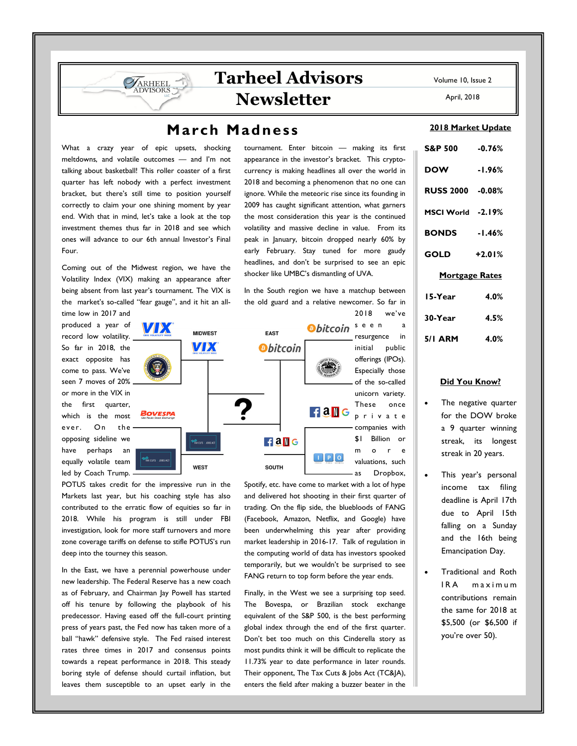## **March Madness**

What a crazy year of epic upsets, shocking meltdowns, and volatile outcomes — and I'm not talking about basketball! This roller coaster of a first quarter has left nobody with a perfect investment bracket, but there's still time to position yourself correctly to claim your one shining moment by year end. With that in mind, let's take a look at the top investment themes thus far in 2018 and see which ones will advance to our 6th annual Investor's Final Four.

ARHEEL **DVISORS** 

Coming out of the Midwest region, we have the Volatility Index (VIX) making an appearance after being absent from last year's tournament. The VIX is the market's so-called "fear gauge", and it hit an all-

produced a year of record low volatility. So far in 2018, the exact opposite has come to pass. We've seen 7 moves of 20% or more in the VIX in the first quarter, which is the most ever. On the opposing sideline we have perhaps an equally volatile team led by Coach Trump.

time low in 2017 and

**B**bitcoin<sup>seen</sup>a VIDX **FAST MIDWEST MX** *<u>Obitcoin</u>*  $FAM G$ Bovespa  $FAM G$  $\blacksquare$   $\blacksquare$   $\blacksquare$   $\blacksquare$ TAX CUTS JOBS AC **WEST** SOUTH

POTUS takes credit for the impressive run in the Markets last year, but his coaching style has also contributed to the erratic flow of equities so far in 2018. While his program is still under FBI investigation, look for more staff turnovers and more zone coverage tariffs on defense to stifle POTUS's run deep into the tourney this season.

In the East, we have a perennial powerhouse under new leadership. The Federal Reserve has a new coach as of February, and Chairman Jay Powell has started off his tenure by following the playbook of his predecessor. Having eased off the full-court printing press of years past, the Fed now has taken more of a ball "hawk" defensive style. The Fed raised interest rates three times in 2017 and consensus points towards a repeat performance in 2018. This steady boring style of defense should curtail inflation, but leaves them susceptible to an upset early in the

tournament. Enter bitcoin — making its first appearance in the investor's bracket. This cryptocurrency is making headlines all over the world in 2018 and becoming a phenomenon that no one can ignore. While the meteoric rise since its founding in 2009 has caught significant attention, what garners the most consideration this year is the continued volatility and massive decline in value. From its peak in January, bitcoin dropped nearly 60% by early February. Stay tuned for more gaudy headlines, and don't be surprised to see an epic shocker like UMBC's dismantling of UVA.

In the South region we have a matchup between the old guard and a relative newcomer. So far in 2018 we've

offerings (IPOs). Especially those of the so-called unicorn variety. These once p r i v a t e companies with \$1 Billion or m o r e valuations, such as Dropbox, Spotify, etc. have come to market with a lot of hype

resurgence in initial public

and delivered hot shooting in their first quarter of trading. On the flip side, the bluebloods of FANG (Facebook, Amazon, Netflix, and Google) have been underwhelming this year after providing market leadership in 2016-17. Talk of regulation in the computing world of data has investors spooked temporarily, but we wouldn't be surprised to see FANG return to top form before the year ends.

Finally, in the West we see a surprising top seed. The Bovespa, or Brazilian stock exchange equivalent of the S&P 500, is the best performing global index through the end of the first quarter. Don't bet too much on this Cinderella story as most pundits think it will be difficult to replicate the 11.73% year to date performance in later rounds. Their opponent, The Tax Cuts & Jobs Act (TC&JA), enters the field after making a buzzer beater in the

**2018 Market Update**

| S&P 500 -0.76%        |          |  |
|-----------------------|----------|--|
| <b>DOW</b>            | $-1.96%$ |  |
| RUSS 2000 -0.08%      |          |  |
| MSCI World -2.19%     |          |  |
| <b>BONDS</b> -1.46%   |          |  |
| GOLD                  | $+2.01%$ |  |
| <b>Mortgage Rates</b> |          |  |
| 15-Year               | 4.0%     |  |
| 30-Year               | 4.5%     |  |

| 30-Year        | 4.5% |
|----------------|------|
| <b>5/1 ARM</b> | 4.0% |

## **Did You Know?**

- The negative quarter for the DOW broke a 9 quarter winning streak, its longest streak in 20 years.
- This year's personal income tax filing deadline is April 17th due to April 15th falling on a Sunday and the 16th being Emancipation Day.
- Traditional and Roth IRA maximum contributions remain the same for 2018 at \$5,500 (or \$6,500 if you're over 50).

Volume 10, Issue 2

April, 2018